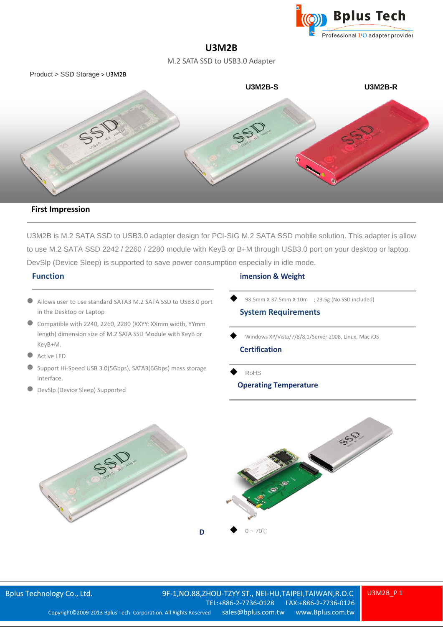

# **U3M2B**

M.2 SATA SSD to USB3.0 Adapter



#### **First Impression**

U3M2B is M.2 SATA SSD to USB3.0 adapter design for PCI-SIG M.2 SATA SSD mobile solution. This adapter is allow to use M.2 SATA SSD 2242 / 2260 / 2280 module with KeyB or B+M through USB3.0 port on your desktop or laptop. DevSlp (Device Sleep) is supported to save power consumption especially in idle mode.

## **Function**

- Allows user to use standard SATA3 M.2 SATA SSD to USB3.0 port in the Desktop or Laptop
- Compatible with 2240, 2260, 2280 (XXYY: XXmm width, YYmm length) dimension size of M.2 SATA SSD Module with KeyB or KeyB+M.
- Active LED
- Support Hi-Speed USB 3.0(5Gbps), SATA3(6Gbps) mass storage interface.
- DevSlp (Device Sleep) Supported

## **imension & Weight**

98.5mm X 37.5mm X 10m ; 23.5g (No SSD included)

#### **System Requirements**

Windows XP/Vista/7/8/8.1/Server 2008, Linux, Mac iOS

# **Certification**

 RoHS **Operating Temperature**